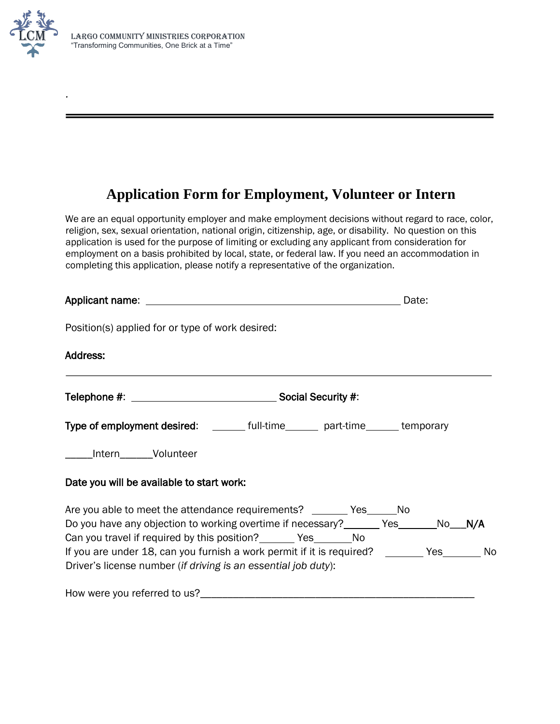

*.*

## **Application Form for Employment, Volunteer or Intern**

We are an equal opportunity employer and make employment decisions without regard to race, color, religion, sex, sexual orientation, national origin, citizenship, age, or disability. No question on this application is used for the purpose of limiting or excluding any applicant from consideration for employment on a basis prohibited by local, state, or federal law. If you need an accommodation in completing this application, please notify a representative of the organization.

|                                                                                                                                                                                                                                            |  | Date: |  |
|--------------------------------------------------------------------------------------------------------------------------------------------------------------------------------------------------------------------------------------------|--|-------|--|
| Position(s) applied for or type of work desired:                                                                                                                                                                                           |  |       |  |
| <b>Address:</b>                                                                                                                                                                                                                            |  |       |  |
|                                                                                                                                                                                                                                            |  |       |  |
| Type of employment desired: _______ full-time_______ part-time______ temporary                                                                                                                                                             |  |       |  |
| _____Intern______Volunteer                                                                                                                                                                                                                 |  |       |  |
| Date you will be available to start work:                                                                                                                                                                                                  |  |       |  |
| Are you able to meet the attendance requirements? _______ Yes______No<br>Do you have any objection to working overtime if necessary? _______ Yes________ No___N/A<br>Can you travel if required by this position? ________ Yes_________ No |  |       |  |
| If you are under 18, can you furnish a work permit if it is required? _______ Yes______ No<br>Driver's license number (if driving is an essential job duty):                                                                               |  |       |  |
|                                                                                                                                                                                                                                            |  |       |  |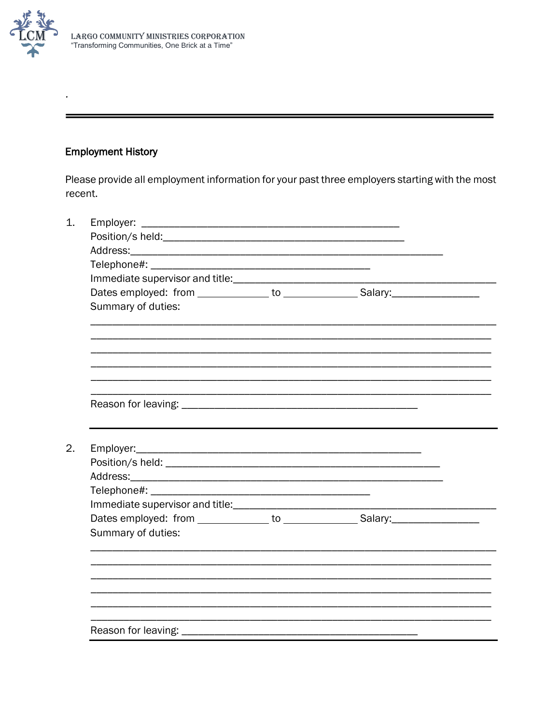

## **Employment History**

Please provide all employment information for your past three employers starting with the most recent.

| Summary of duties: |  |  |
|--------------------|--|--|
|                    |  |  |
|                    |  |  |
|                    |  |  |
|                    |  |  |
|                    |  |  |
|                    |  |  |
|                    |  |  |
|                    |  |  |
|                    |  |  |
|                    |  |  |
|                    |  |  |
|                    |  |  |
| Summary of duties: |  |  |
|                    |  |  |
|                    |  |  |
|                    |  |  |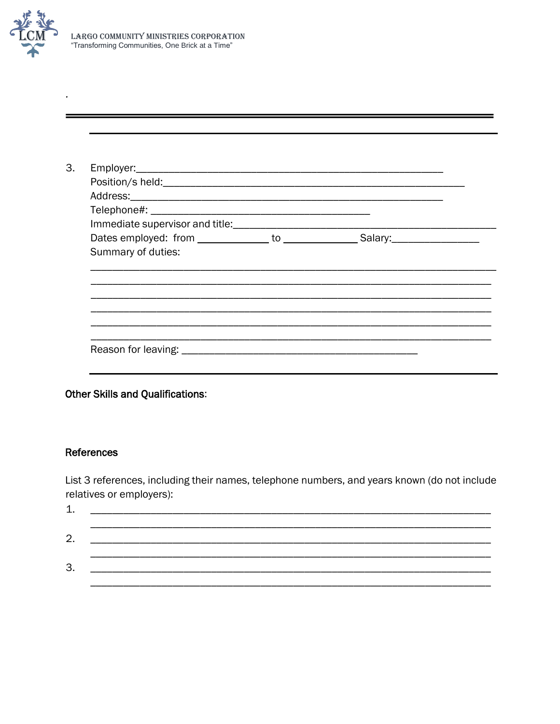

| Summary of duties: |  |
|--------------------|--|
|                    |  |
|                    |  |
|                    |  |
|                    |  |
|                    |  |
|                    |  |

**Other Skills and Qualifications:** 

## References

List 3 references, including their names, telephone numbers, and years known (do not include relatives or employers):

| ┚      |  |  |
|--------|--|--|
| ◠      |  |  |
|        |  |  |
| ີ<br>w |  |  |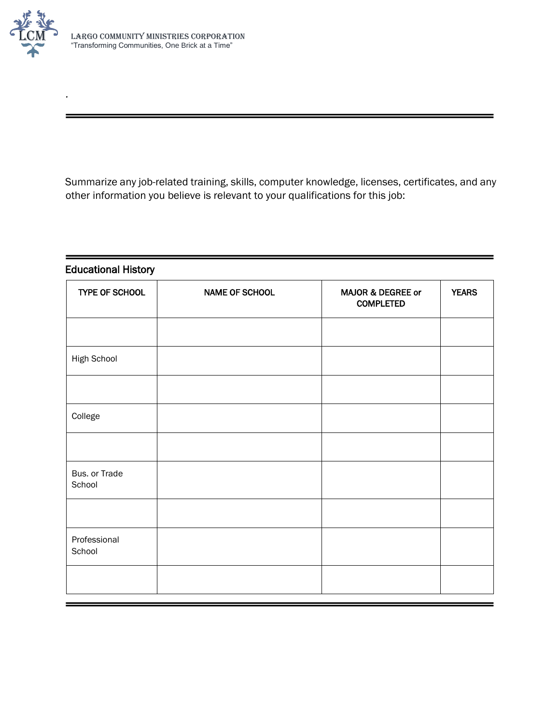

*.*

Summarize any job-related training, skills, computer knowledge, licenses, certificates, and any other information you believe is relevant to your qualifications for this job:

| TYPE OF SCHOOL          | <b>NAME OF SCHOOL</b> | MAJOR & DEGREE or<br><b>COMPLETED</b> | <b>YEARS</b> |
|-------------------------|-----------------------|---------------------------------------|--------------|
|                         |                       |                                       |              |
| High School             |                       |                                       |              |
|                         |                       |                                       |              |
| College                 |                       |                                       |              |
|                         |                       |                                       |              |
| Bus. or Trade<br>School |                       |                                       |              |
|                         |                       |                                       |              |
| Professional<br>School  |                       |                                       |              |
|                         |                       |                                       |              |

Educational History